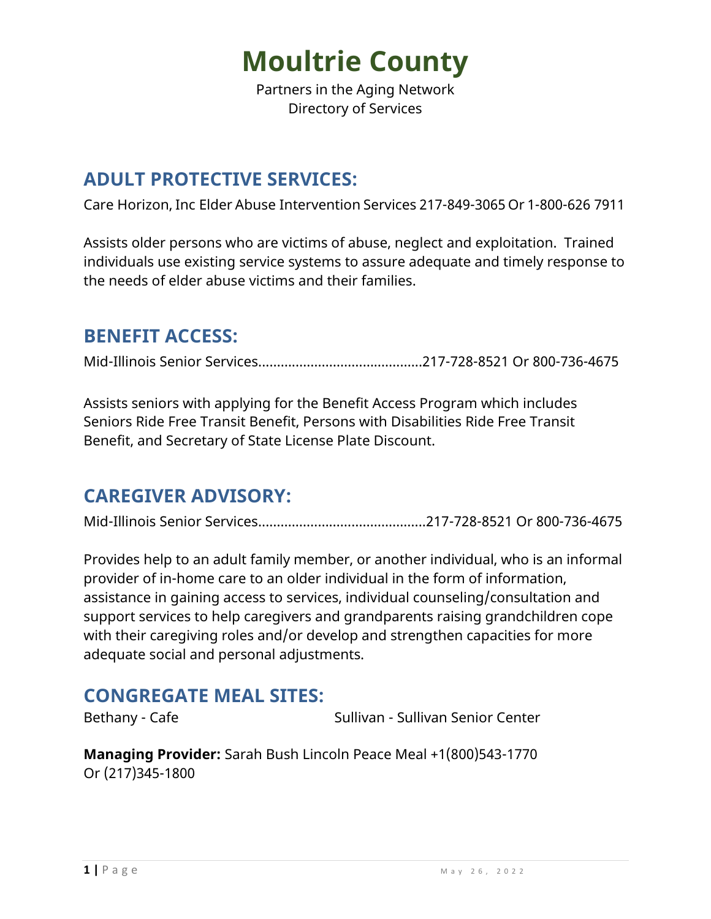Partners in the Aging Network Directory of Services

#### **ADULT PROTECTIVE SERVICES:**

Care Horizon, Inc Elder Abuse Intervention Services 217-849-3065 Or 1-800-626 7911

Assists older persons who are victims of abuse, neglect and exploitation. Trained individuals use existing service systems to assure adequate and timely response to the needs of elder abuse victims and their families.

### **BENEFIT ACCESS:**

Mid-Illinois Senior Services...…….……………………….…...217-728-8521 Or 800-736-4675

Assists seniors with applying for the Benefit Access Program which includes Seniors Ride Free Transit Benefit, Persons with Disabilities Ride Free Transit Benefit, and Secretary of State License Plate Discount.

#### **CAREGIVER ADVISORY:**

Mid-Illinois Senior Services...…….…………………….….…...217-728-8521 Or 800-736-4675

Provides help to an adult family member, or another individual, who is an informal provider of in-home care to an older individual in the form of information, assistance in gaining access to services, individual counseling/consultation and support services to help caregivers and grandparents raising grandchildren cope with their caregiving roles and/or develop and strengthen capacities for more adequate social and personal adjustments.

#### **CONGREGATE MEAL SITES:**

Bethany - Cafe Sullivan - Sullivan - Sullivan Senior Center

**Managing Provider:** Sarah Bush Lincoln Peace Meal +1(800)543-1770 Or (217)345-1800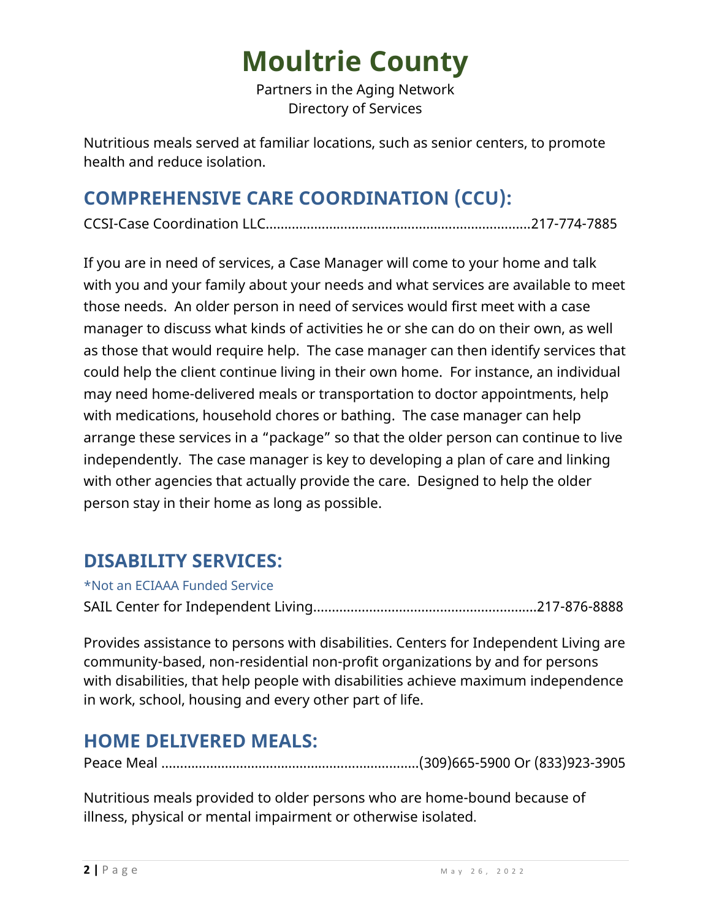Partners in the Aging Network Directory of Services

Nutritious meals served at familiar locations, such as senior centers, to promote health and reduce isolation.

## **COMPREHENSIVE CARE COORDINATION (CCU):**

CCSI-Case Coordination LLC…….…………………………………….…….….….......217-774-7885

If you are in need of services, a Case Manager will come to your home and talk with you and your family about your needs and what services are available to meet those needs. An older person in need of services would first meet with a case manager to discuss what kinds of activities he or she can do on their own, as well as those that would require help. The case manager can then identify services that could help the client continue living in their own home. For instance, an individual may need home-delivered meals or transportation to doctor appointments, help with medications, household chores or bathing. The case manager can help arrange these services in a "package" so that the older person can continue to live independently. The case manager is key to developing a plan of care and linking with other agencies that actually provide the care. Designed to help the older person stay in their home as long as possible.

### **DISABILITY SERVICES:**

\*Not an ECIAAA Funded Service

SAIL Center for Independent Living………………………….….…………………….217-876-8888

Provides assistance to persons with disabilities. Centers for Independent Living are community-based, non-residential non-profit organizations by and for persons with disabilities, that help people with disabilities achieve maximum independence in work, school, housing and every other part of life.

## **HOME DELIVERED MEALS:**

Peace Meal ……………………………………….……………….….(309)665-5900 Or (833)923-3905

Nutritious meals provided to older persons who are home-bound because of illness, physical or mental impairment or otherwise isolated.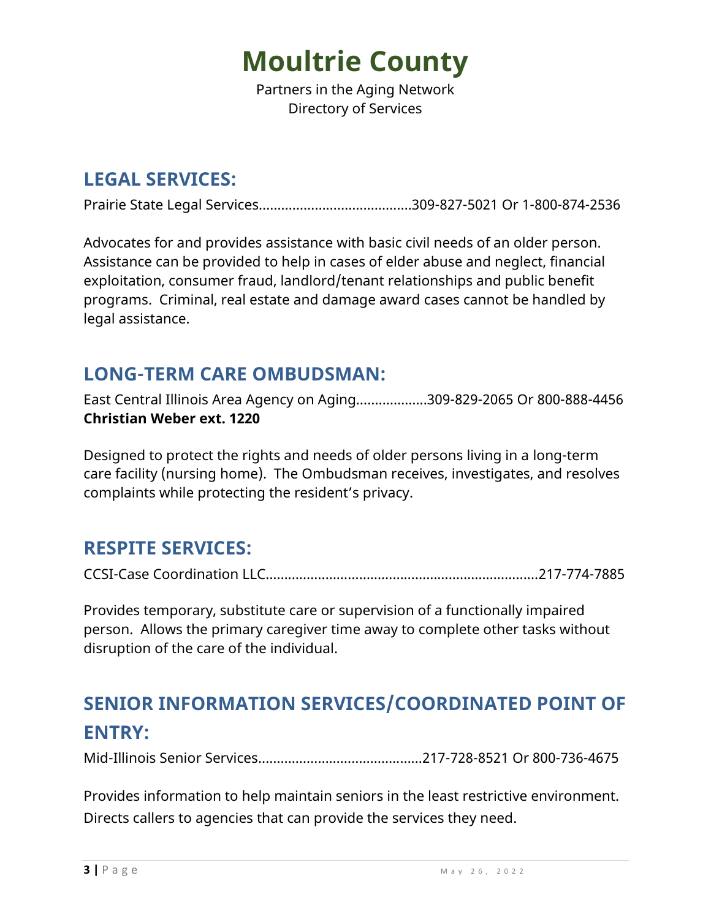Partners in the Aging Network Directory of Services

#### **LEGAL SERVICES:**

Prairie State Legal Services…………………………….…….309-827-5021 Or 1-800-874-2536

Advocates for and provides assistance with basic civil needs of an older person. Assistance can be provided to help in cases of elder abuse and neglect, financial exploitation, consumer fraud, landlord/tenant relationships and public benefit programs. Criminal, real estate and damage award cases cannot be handled by legal assistance.

#### **LONG-TERM CARE OMBUDSMAN:**

East Central Illinois Area Agency on Aging…….………...309-829-2065 Or 800-888-4456 **Christian Weber ext. 1220**

Designed to protect the rights and needs of older persons living in a long-term care facility (nursing home). The Ombudsman receives, investigates, and resolves complaints while protecting the resident's privacy.

### **RESPITE SERVICES:**

CCSI-Case Coordination LLC…….…………………………………………….….….......217-774-7885

Provides temporary, substitute care or supervision of a functionally impaired person. Allows the primary caregiver time away to complete other tasks without disruption of the care of the individual.

# **SENIOR INFORMATION SERVICES/COORDINATED POINT OF ENTRY:**

Mid-Illinois Senior Services...…….……………………….…...217-728-8521 Or 800-736-4675

Provides information to help maintain seniors in the least restrictive environment. Directs callers to agencies that can provide the services they need.